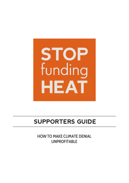

# **SUPPORTERS GUIDE**

HOW TO MAKE CLIMATE DENIAL UNPROFITABLE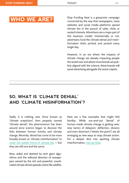# **WHO WE ARE?**

Stop Funding Heat is a grassroots campaign concerned by the way that newspapers, news websites and social media platforms spread climate lies in the pursuit of sales, clicks or vested interests. Advertisers are a major part of this business model. Intentionally or not, advertisers fund the climate denial and misinformation that's printed and posted every single day.

However, in an era where the impacts of climate change are already impacting people the world over and where most brands are publicly aligned with the science, these brands will avoid advertising alongside the worst culprits.

# **SO, WHAT IS 'CLIMATE DENIAL' AND 'CLIMATE MISINFORMATION'?**

Sadly, it is nothing new. Once known as "climate scepticism", then properly named "climate denial", this phenomenon has been around since science began to discover the links between human activity and climate change. Recently, denial has come to be more broadly known as "climate misinformation" to [cover the subtler forms of climate lies](https://www.latimes.com/opinion/story/2021-10-31/climate-crisis-delay-has-become-the-new-form-of-denial) — but they are still one and the same.

Now, aided and abetted by tech giant algorithms and the editorial direction of newspapers owned by the rich and powerful, coordinated climate denial spreads online like wildfire. Here are a few examples that might feel familiar. While out-and-out "denial" of human-made climate change is getting rarer, new tactics of delayism, deflection, division and even doomism ("what's the point") are all emerging as new ways to stop climate action. For a deeper dive into spotting climate misinformation, [visit our blog.](https://stopfundingheat.info/climate-denial-in-ads/what-is-climate-misinformation-and-climate-disinformation-all-you-need-to-know/)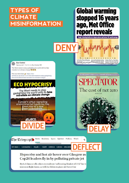# **TPES O CLIMATE MISINFORMATION**

# **Global warming** stopped 16 years ago, Met Office report reveals

Graph showing tenths of a degree above and below 14C world average

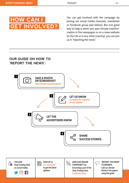

You can get involved with the campaign by joining our social media channels, newsletter or Facebook group (see below). But one great way to help is when you spot climate misinformation in the newspaper or on a news website (in the UK or in any other country), you can join us in "reporting the news".

## **OUR GUIDE ON HOW TO 'REPORT THE NEWS':**

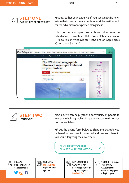

First up, gather your evidence. If you see a specific news article that spreads climate denial or misinformation, look for the advertisements posted alongside it.

If it is in the newspaper, take a photo making sure the advertisement is captured. If it is online, take a screenshot — to do this on Windows tap 'PrtSc' and on Apple press 'Command + Shift + 4'.



Next up, we can help gather a community of people to join you in helping make climate denial and misinformation unprofitable.

Fill out the online form below to share the example you gathered, so we have it on record and can ask others to join you in targeting the advertisers.

**CLICK HERE TO SHARE [CLIMATE MISINFORMATION](https://stopfundingheat.info/submit-climate-misinformation/)**

FOLLOW Stop Funding Heat on social media:



**STEP TWO**

**LET US KNOW**

SIGN UP to [our newsletter](http://eepurl.com/hwz8e9) to get the latest updates.



JOIN OUR ONLINE COMMUNITY by becoming a part of the Stop Funding Heat [Facebook Group.](https://www.facebook.com/groups/755185431579420) 

'REPORT THE NEWS' TO BRANDS. Call out climate denial in the papers using this guide.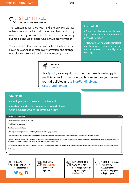## **STEP THREE LET THE ADVERTISERS KNOW**

The companies we shop with and the services we use online care about what their customers think. And many would be deeply uncomfortable to find out their advertising budget is being used to help fund climate misinformation.

The more of us that speak up and call out the brands that advertise alongside climate misinformation, the stronger our collective voice will be. Send your message now!



 Share your photo or screenshot and tag the Twitter handle of the company you're targeting.

• Also, tag us at @StopFundingHeat and hashtag #StopFundingHeat, so we can retweet and amplify your message.



Hey @DFS, as a loyal customer, I am really unhappy to see this advert in The Telegraph. Please can you review your ad policies and #StopFundingHeat @stopfundingheat

## **VIA EMAIL:**

- Attach your photo or screenshot to the email.
- Send your email to the customer service email address, which is almost always on the company's website.

#### Your Climate commitment

Customerservice@mysupemarket.co.uk

Your Climate commitment

Dear [your supermarket here],

I shop at [supermarket] every week, and it's my favourite place to buy my groceries.

I also care deeply about climate change, which is why I'm so heartened to see that your company has a commitment to reach net zero emissions by 2050.

However, I noticed that in this morning's paper, [supermarket] advertisements were printed alongside climate misinformation in [newspaper]. It was so disappointing to see your company's money inadvertently being used to fund action directly against climate policy like this.

As I know these news articles don't align with your company's values, I politely ask you to remove your advertisements from [newspaper] and commit to changing to advertising practices.

Kind regards, xxxx





SIGN UP to [our newsletter](http://eepurl.com/hwz8e9) to get the latest updates.

團



**JOIN OUR ONLINE** COMMUNITY by becoming a part of the Stop Funding Heat [Facebook Group.](https://www.facebook.com/groups/755185431579420) 



'REPORT THE NEWS' TO BRANDS. Call out climate denial in the papers using this guide.

 $\ddotsc$